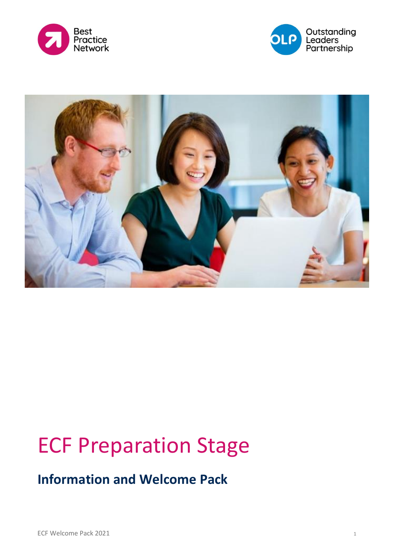





# ECF Preparation Stage

### **Information and Welcome Pack**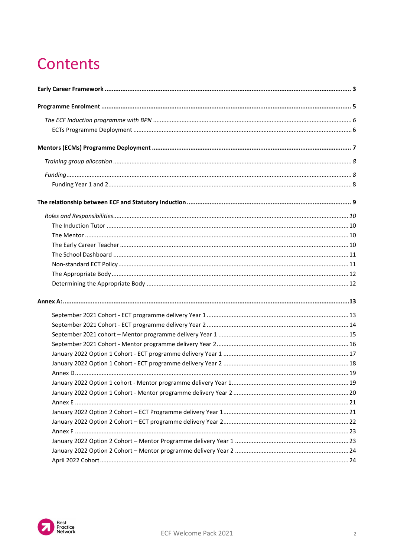### **Contents**

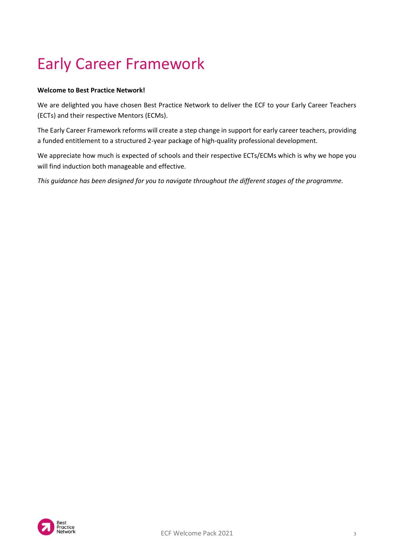## <span id="page-2-0"></span>Early Career Framework

#### **Welcome to Best Practice Network!**

We are delighted you have chosen Best Practice Network to deliver the ECF to your Early Career Teachers (ECTs) and their respective Mentors (ECMs).

The Early Career Framework reforms will create a step change in support for early career teachers, providing a funded entitlement to a structured 2-year package of high-quality professional development.

We appreciate how much is expected of schools and their respective ECTs/ECMs which is why we hope you will find induction both manageable and effective.

*This guidance has been designed for you to navigate throughout the different stages of the programme.*

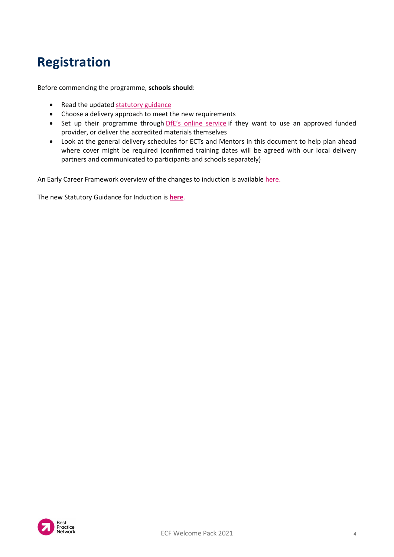### **Registration**

Before commencing the programme, **schools should**:

- Read the updated [statutory guidance](https://assets.publishing.service.gov.uk/government/uploads/system/uploads/attachment_data/file/972316/Statutory_Induction_Guidance_2021_final__002_____1___1_.pdf)
- Choose a delivery approach to meet the new requirements
- Set up their programme through *DfE's online [service](https://bestpracticenet.co.uk/Media/Images/ECF%20Webinar%20Slides.pptx)* if they want to use an approved funded provider, or deliver the accredited materials themselves
- Look at the general delivery schedules for ECTs and Mentors in this document to help plan ahead where cover might be required (confirmed training dates will be agreed with our local delivery partners and communicated to participants and schools separately)

An Early Career Framework overview of the changes to induction is available [here.](https://www.gov.uk/government/publications/appropriate-bodies-guidance-induction-and-the-early-career-framework?utm_source=GeneralQA&utm_medium=email&utm_campaign=LP_announcement)

The new Statutory Guidance for Induction is **[here](https://www.gov.uk/government/publications/induction-for-early-career-teachers-england)**.

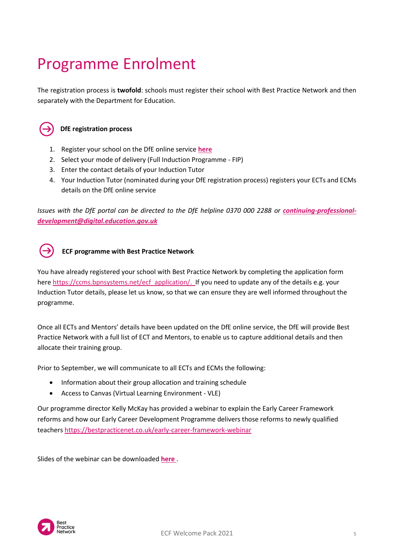## <span id="page-4-0"></span>Programme Enrolment

The registration process is **twofold**: schools must register their school with Best Practice Network and then separately with the Department for Education.



#### **DfE registration process**

- 1. Register your school on the DfE online service **[here](https://www.gov.uk/government/publications/early-career-framework-reforms-overview/early-career-framework-reforms-overview)**
- 2. Select your mode of delivery (Full Induction Programme FIP)
- 3. Enter the contact details of your Induction Tutor
- 4. Your Induction Tutor (nominated during your DfE registration process) registers your ECTs and ECMs details on the DfE online service

*Issues with the DfE portal can be directed to the DfE helpline 0370 000 2288 or [continuing-professional](https://assets.publishing.service.gov.uk/government/uploads/system/uploads/attachment_data/file/972316/Statutory_Induction_Guidance_2021_final__002_____1___1_.pdf,)[development@digital.education.gov.uk](https://assets.publishing.service.gov.uk/government/uploads/system/uploads/attachment_data/file/972316/Statutory_Induction_Guidance_2021_final__002_____1___1_.pdf,)*



You have already registered your school with Best Practice Network by completing the application form her[e https://ccms.bpnsystems.net/ecf\\_application/.](https://ccms.bpnsystems.net/ecf_application/) If you need to update any of the details e.g. your Induction Tutor details, please let us know, so that we can ensure they are well informed throughout the programme.

Once all ECTs and Mentors' details have been updated on the DfE online service, the DfE will provide Best Practice Network with a full list of ECT and Mentors, to enable us to capture additional details and then allocate their training group.

Prior to September, we will communicate to all ECTs and ECMs the following:

- Information about their group allocation and training schedule
- Access to Canvas (Virtual Learning Environment VLE)

Our programme director Kelly McKay has provided a webinar to explain the Early Career Framework reforms and how our Early Career Development Programme delivers those reforms to newly qualified teacher[s https://bestpracticenet.co.uk/early-career-framework-webinar](https://protect-eu.mimecast.com/s/8GFsCvl17UOJqo8Tzj_zO)

Slides of the webinar can be downloaded **[here](mailto:continuing-professional-development@digital.education.gov.uk)** .

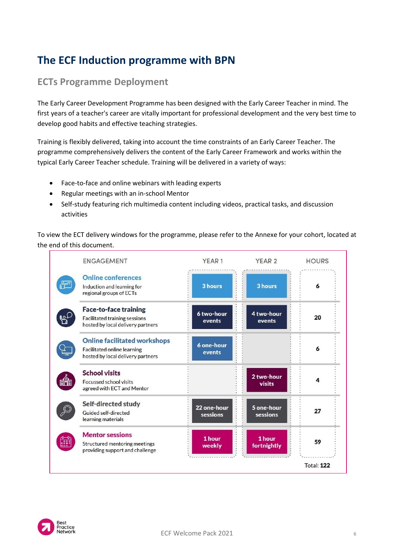### <span id="page-5-0"></span>**The ECF Induction programme with BPN**

### <span id="page-5-1"></span>**ECTs Programme Deployment**

The Early Career Development Programme has been designed with the Early Career Teacher in mind. The first years of a teacher's career are vitally important for professional development and the very best time to develop good habits and effective teaching strategies.

Training is flexibly delivered, taking into account the time constraints of an Early Career Teacher. The programme comprehensively delivers the content of the Early Career Framework and works within the typical Early Career Teacher schedule. Training will be delivered in a variety of ways:

- Face-to-face and online webinars with leading experts
- Regular meetings with an in-school Mentor
- Self-study featuring rich multimedia content including videos, practical tasks, and discussion activities

To view the ECT delivery windows for the programme, please refer to the Annexe for your cohort, located at the end of this document.



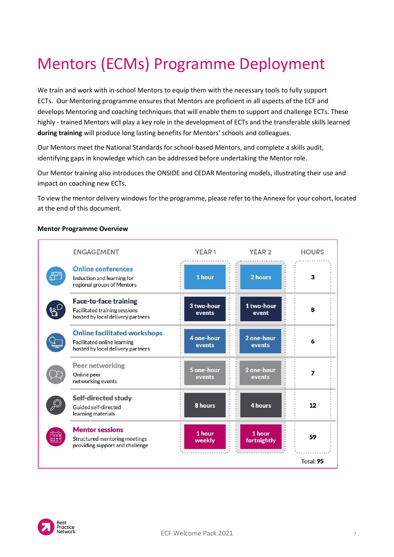## <span id="page-6-0"></span>Mentors (ECMs) Programme Deployment

We train and work with in-school Mentors to equip them with the necessary tools to fully support ECTs. Our Mentoring programme ensures that Mentors are proficient in all aspects of the ECF and develops Mentoring and coaching techniques that will enable them to support and challenge ECTs. These highly - trained Mentors will play a key role in the development of ECTs and the transferable skills learned **during training** will produce long lasting benefits for Mentors' schools and colleagues.

Our Mentors meet the National Standards for school-based Mentors, and complete a skills audit, identifying gaps in knowledge which can be addressed before undertaking the Mentor role.

Our Mentor training also introduces the ONSIDE and CEDAR Mentoring models, illustrating their use and impact on coaching new ECTs.

To view the mentor delivery windows for the programme, please refer to the Annexe for your cohort, located at the end of this document.

|    | <b>ENGAGEMENT</b>                                                                                       | YEAR <sub>1</sub>    | YEAR <sub>2</sub>     | <b>HOURS</b> |
|----|---------------------------------------------------------------------------------------------------------|----------------------|-----------------------|--------------|
|    | <b>Online conferences</b><br>Induction and learning for<br>regional groups of Mentors                   | 1 hour               | 2 hours               | 3            |
|    | <b>Face-to-face training</b><br>Facilitated training sessions<br>hosted by local delivery partners      | 3 two-hour<br>events | 1 two-hour<br>event   | 8            |
|    | <b>Online facilitated workshops</b><br>Facilitated online learning<br>hosted by local delivery partners | 4 one-hour<br>events | 2 one-hour<br>events  | 6            |
|    | Peer networking<br>Online peer<br>networking events                                                     | 5 one-hour<br>events | 2 one-hour<br>events  | 7            |
|    | Self-directed study<br>Guided self-directed<br>learning materials                                       | 8 hours              | 4 hours               | 12           |
| ÷. | <b>Mentor sessions</b><br>Structured mentoring meetings<br>providing support and challenge              | 1 hour<br>weekly     | 1 hour<br>fortnightly | 59           |
|    |                                                                                                         |                      |                       | Total: 95    |

#### **Mentor Programme Overview**

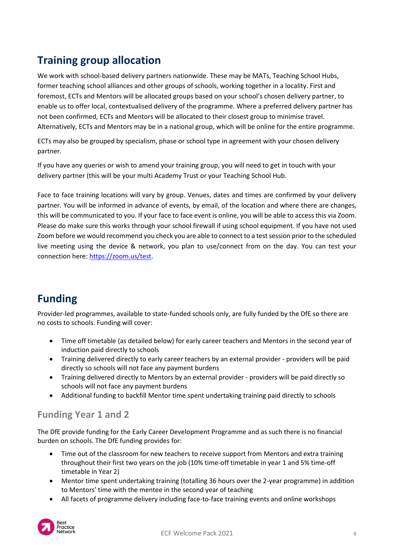### <span id="page-7-0"></span>**Training group allocation**

We work with school-based delivery partners nationwide. These may be MATs, Teaching School Hubs, former teaching school alliances and other groups of schools, working together in a locality. First and foremost, ECTs and Mentors will be allocated groups based on your school's chosen delivery partner, to enable us to offer local, contextualised delivery of the programme. Where a preferred delivery partner has not been confirmed, ECTs and Mentors will be allocated to their closest group to minimise travel. Alternatively, ECTs and Mentors may be in a national group, which will be online for the entire programme.

ECTs may also be grouped by specialism, phase or school type in agreement with your chosen delivery partner.

If you have any queries or wish to amend your training group, you will need to get in touch with your delivery partner (this will be your multi Academy Trust or your Teaching School Hub.

Face to face training locations will vary by group. Venues, dates and times are confirmed by your delivery partner. You will be informed in advance of events, by email, of the location and where there are changes, this will be communicated to you. If your face to face event is online, you will be able to access this via Zoom. Please do make sure this works through your school firewall if using school equipment. If you have not used Zoom before we would recommend you check you are able to connect to a test session prior to the scheduled live meeting using the device & network, you plan to use/connect from on the day. You can test your connection here: [https://zoom.us/test.](https://zoom.us/test)

### <span id="page-7-1"></span>**Funding**

Provider-led programmes, available to state-funded schools only, are fully funded by the DfE so there are no costs to schools. Funding will cover:

- Time off timetable (as detailed below) for early career teachers and Mentors in the second year of induction paid directly to schools
- Training delivered directly to early career teachers by an external provider providers will be paid directly so schools will not face any payment burdens
- Training delivered directly to Mentors by an external provider providers will be paid directly so schools will not face any payment burdens
- Additional funding to backfill Mentor time spent undertaking training paid directly to schools

#### <span id="page-7-2"></span>**Funding Year 1 and 2**

The DfE provide funding for the Early Career Development Programme and as such there is no financial burden on schools. The DfE funding provides for:

- Time out of the classroom for new teachers to receive support from Mentors and extra training throughout their first two years on the job (10% time-off timetable in year 1 and 5% time-off timetable in Year 2)
- Mentor time spent undertaking training (totalling 36 hours over the 2-year programme) in addition to Mentors' time with the mentee in the second year of teaching
- All facets of programme delivery including face-to-face training events and online workshops

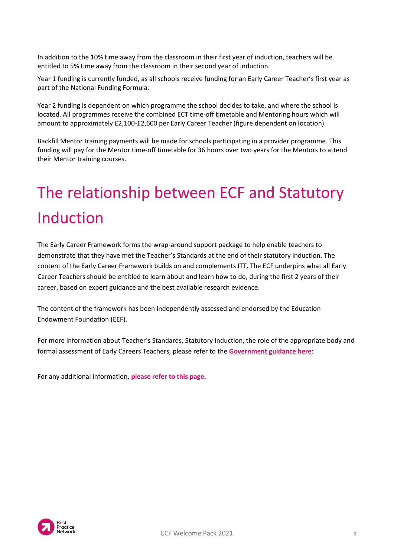In addition to the 10% time away from the classroom in their first year of induction, teachers will be entitled to 5% time away from the classroom in their second year of induction.

Year 1 funding is currently funded, as all schools receive funding for an Early Career Teacher's first year as part of the National Funding Formula.

Year 2 funding is dependent on which programme the school decides to take, and where the school is located. All programmes receive the combined ECT time-off timetable and Mentoring hours which will amount to approximately £2,100-£2,600 per Early Career Teacher (figure dependent on location).

Backfill Mentor training payments will be made for schools participating in a provider programme. This funding will pay for the Mentor time-off timetable for 36 hours over two years for the Mentors to attend their Mentor training courses.

## <span id="page-8-0"></span>The relationship between ECF and Statutory Induction

The Early Career Framework forms the wrap-around support package to help enable teachers to demonstrate that they have met the Teacher's Standards at the end of their statutory induction. The content of the Early Career Framework builds on and complements ITT. The ECF underpins what all Early Career Teachers should be entitled to learn about and learn how to do, during the first 2 years of their career, based on expert guidance and the best available research evidence.

The content of the framework has been independently assessed and endorsed by the Education Endowment Foundation (EEF).

For more information about Teacher's Standards, Statutory Induction, the role of the appropriate body and formal assessment of Early Careers Teachers, please refer to the **[Government guidance here](https://manage-training-for-early-career-teachers.education.gov.uk/)**:

For any additional information, **[please refer to this page.](https://www.gov.uk/education/initial-teacher-training-itt#guidance_and_regulation)**

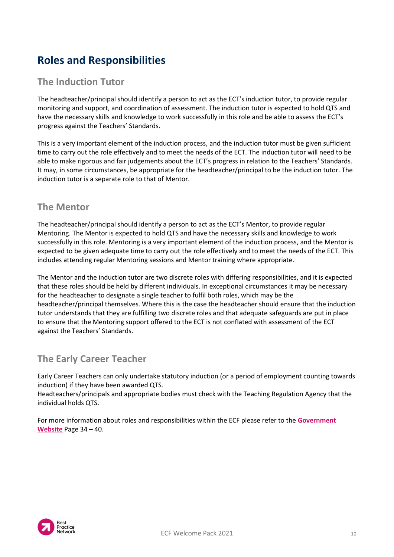### <span id="page-9-0"></span>**Roles and Responsibilities**

### <span id="page-9-1"></span>**The Induction Tutor**

The headteacher/principal should identify a person to act as the ECT's induction tutor, to provide regular monitoring and support, and coordination of assessment. The induction tutor is expected to hold QTS and have the necessary skills and knowledge to work successfully in this role and be able to assess the ECT's progress against the Teachers' Standards.

This is a very important element of the induction process, and the induction tutor must be given sufficient time to carry out the role effectively and to meet the needs of the ECT. The induction tutor will need to be able to make rigorous and fair judgements about the ECT's progress in relation to the Teachers' Standards. It may, in some circumstances, be appropriate for the headteacher/principal to be the induction tutor. The induction tutor is a separate role to that of Mentor.

#### <span id="page-9-2"></span>**The Mentor**

The headteacher/principal should identify a person to act as the ECT's Mentor, to provide regular Mentoring. The Mentor is expected to hold QTS and have the necessary skills and knowledge to work successfully in this role. Mentoring is a very important element of the induction process, and the Mentor is expected to be given adequate time to carry out the role effectively and to meet the needs of the ECT. This includes attending regular Mentoring sessions and Mentor training where appropriate.

The Mentor and the induction tutor are two discrete roles with differing responsibilities, and it is expected that these roles should be held by different individuals. In exceptional circumstances it may be necessary for the headteacher to designate a single teacher to fulfil both roles, which may be the headteacher/principal themselves. Where this is the case the headteacher should ensure that the induction tutor understands that they are fulfilling two discrete roles and that adequate safeguards are put in place to ensure that the Mentoring support offered to the ECT is not conflated with assessment of the ECT against the Teachers' Standards.

#### <span id="page-9-3"></span>**The Early Career Teacher**

Early Career Teachers can only undertake statutory induction (or a period of employment counting towards induction) if they have been awarded QTS.

Headteachers/principals and appropriate bodies must check with the Teaching Regulation Agency that the individual holds QTS.

For more information about roles and responsibilities within the ECF please refer to the **[Government](https://manage-training-for-early-career-teachers.education.gov.uk/)  [Website](https://manage-training-for-early-career-teachers.education.gov.uk/)** Page 34 – 40.

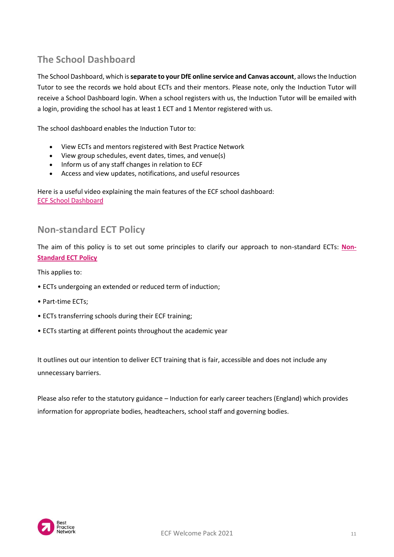### <span id="page-10-0"></span>**The School Dashboard**

The School Dashboard, which is **separate to your DfE online service and Canvas account**, allows the Induction Tutor to see the records we hold about ECTs and their mentors. Please note, only the Induction Tutor will receive a School Dashboard login. When a school registers with us, the Induction Tutor will be emailed with a login, providing the school has at least 1 ECT and 1 Mentor registered with us.

The school dashboard enables the Induction Tutor to:

- View ECTs and mentors registered with Best Practice Network
- View group schedules, event dates, times, and venue(s)
- Inform us of any staff changes in relation to ECF
- Access and view updates, notifications, and useful resources

Here is a useful video explaining the main features of the ECF school dashboard: [ECF School Dashboard](https://bestpracticenet.co.uk/?domain=youtube.com)

#### <span id="page-10-1"></span>**Non-standard ECT Policy**

The aim of this policy is to set out some principles to clarify our approach to non-standard ECTs: **[Non-](https://www.bestpracticenet.co.uk/Media/Documents/ECF/BPN_ECF_Non-Standard_Policy_Sept_2021.pdf)[Standard ECT Policy](https://www.bestpracticenet.co.uk/Media/Documents/ECF/BPN_ECF_Non-Standard_Policy_Sept_2021.pdf)**

This applies to:

- ECTs undergoing an extended or reduced term of induction;
- Part-time ECTs;
- ECTs transferring schools during their ECF training;
- ECTs starting at different points throughout the academic year

It outlines out our intention to deliver ECT training that is fair, accessible and does not include any unnecessary barriers.

Please also refer to the statutory guidance – Induction for early career teachers (England) which provides information for appropriate bodies, headteachers, school staff and governing bodies.

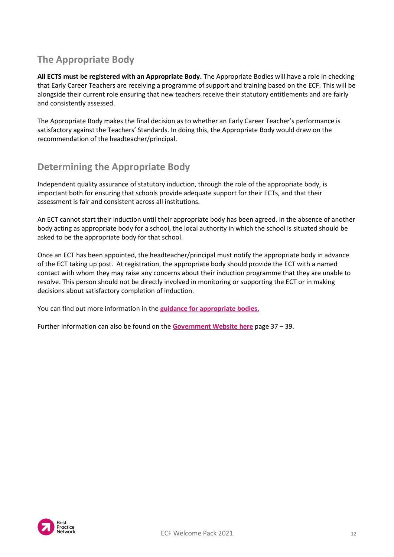### <span id="page-11-0"></span>**The Appropriate Body**

**All ECTS must be registered with an Appropriate Body.** The Appropriate Bodies will have a role in checking that Early Career Teachers are receiving a programme of support and training based on the ECF. This will be alongside their current role ensuring that new teachers receive their statutory entitlements and are fairly and consistently assessed.

The Appropriate Body makes the final decision as to whether an Early Career Teacher's performance is satisfactory against the Teachers' Standards. In doing this, the Appropriate Body would draw on the recommendation of the headteacher/principal.

### <span id="page-11-1"></span>**Determining the Appropriate Body**

Independent quality assurance of statutory induction, through the role of the appropriate body, is important both for ensuring that schools provide adequate support for their ECTs, and that their assessment is fair and consistent across all institutions.

An ECT cannot start their induction until their appropriate body has been agreed. In the absence of another body acting as appropriate body for a school, the local authority in which the school is situated should be asked to be the appropriate body for that school.

Once an ECT has been appointed, the headteacher/principal must notify the appropriate body in advance of the ECT taking up post. At registration, the appropriate body should provide the ECT with a named contact with whom they may raise any concerns about their induction programme that they are unable to resolve. This person should not be directly involved in monitoring or supporting the ECT or in making decisions about satisfactory completion of induction.

You can find out more information in the **[guidance for appropriate bodies.](https://bestpracticenet.co.uk/early-career-framework-webinar)**

Further information can also be found on the **[Government Website here](https://assets.publishing.service.gov.uk/government/uploads/system/uploads/attachment_data/file/972316/Statutory_Induction_Guidance_2021_final__002_____1___1_.pdf)** page 37 – 39.

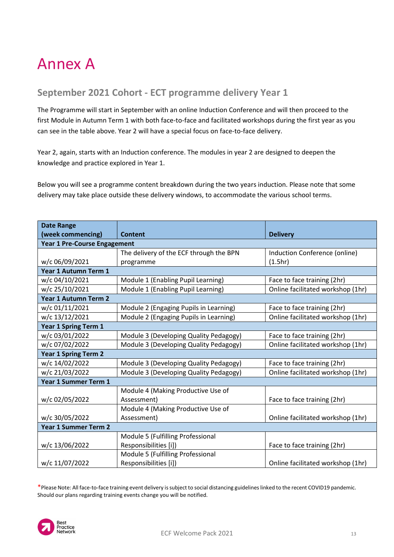### <span id="page-12-0"></span>Annex A

### <span id="page-12-1"></span>**September 2021 Cohort - ECT programme delivery Year 1**

The Programme will start in September with an online Induction Conference and will then proceed to the first Module in Autumn Term 1 with both face-to-face and facilitated workshops during the first year as you can see in the table above. Year 2 will have a special focus on face-to-face delivery.

Year 2, again, starts with an Induction conference. The modules in year 2 are designed to deepen the knowledge and practice explored in Year 1.

Below you will see a programme content breakdown during the two years induction. Please note that some delivery may take place outside these delivery windows, to accommodate the various school terms.

| <b>Date Range</b>                   |                                         |                                   |
|-------------------------------------|-----------------------------------------|-----------------------------------|
| (week commencing)                   | <b>Content</b>                          | <b>Delivery</b>                   |
| <b>Year 1 Pre-Course Engagement</b> |                                         |                                   |
|                                     | The delivery of the ECF through the BPN | Induction Conference (online)     |
| w/c 06/09/2021                      | programme                               | (1.5hr)                           |
| Year 1 Autumn Term 1                |                                         |                                   |
| w/c 04/10/2021                      | Module 1 (Enabling Pupil Learning)      | Face to face training (2hr)       |
| w/c 25/10/2021                      | Module 1 (Enabling Pupil Learning)      | Online facilitated workshop (1hr) |
| <b>Year 1 Autumn Term 2</b>         |                                         |                                   |
| w/c 01/11/2021                      | Module 2 (Engaging Pupils in Learning)  | Face to face training (2hr)       |
| w/c 13/12/2021                      | Module 2 (Engaging Pupils in Learning)  | Online facilitated workshop (1hr) |
| <b>Year 1 Spring Term 1</b>         |                                         |                                   |
| w/c 03/01/2022                      | Module 3 (Developing Quality Pedagogy)  | Face to face training (2hr)       |
| w/c 07/02/2022                      | Module 3 (Developing Quality Pedagogy)  | Online facilitated workshop (1hr) |
| <b>Year 1 Spring Term 2</b>         |                                         |                                   |
| w/c 14/02/2022                      | Module 3 (Developing Quality Pedagogy)  | Face to face training (2hr)       |
| w/c 21/03/2022                      | Module 3 (Developing Quality Pedagogy)  | Online facilitated workshop (1hr) |
| Year 1 Summer Term 1                |                                         |                                   |
|                                     | Module 4 (Making Productive Use of      |                                   |
| w/c 02/05/2022                      | Assessment)                             | Face to face training (2hr)       |
|                                     | Module 4 (Making Productive Use of      |                                   |
| w/c 30/05/2022                      | Assessment)                             | Online facilitated workshop (1hr) |
| <b>Year 1 Summer Term 2</b>         |                                         |                                   |
|                                     | Module 5 (Fulfilling Professional       |                                   |
| w/c 13/06/2022                      | Responsibilities [i])                   | Face to face training (2hr)       |
|                                     | Module 5 (Fulfilling Professional       |                                   |
| w/c 11/07/2022                      | Responsibilities [i])                   | Online facilitated workshop (1hr) |

\*Please Note: All face-to-face training event delivery is subject to social distancing guidelines linked to the recent COVID19 pandemic. Should our plans regarding training events change you will be notified.

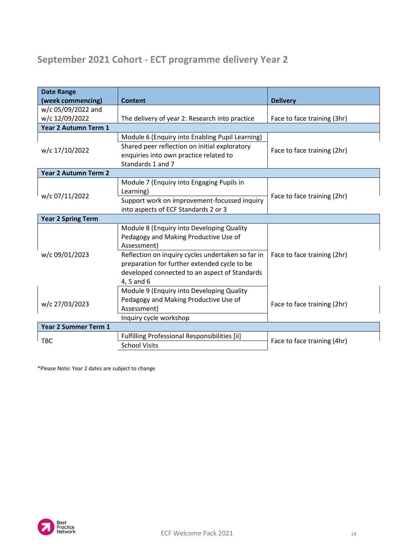### <span id="page-13-0"></span>**September 2021 Cohort - ECT programme delivery Year 2**

| <b>Date Range</b>           |                                                   |                             |
|-----------------------------|---------------------------------------------------|-----------------------------|
| (week commencing)           | <b>Content</b>                                    | <b>Delivery</b>             |
| w/c 05/09/2022 and          |                                                   |                             |
| w/c 12/09/2022              | The delivery of year 2: Research into practice    | Face to face training (3hr) |
| Year 2 Autumn Term 1        |                                                   |                             |
|                             | Module 6 (Enquiry into Enabling Pupil Learning)   |                             |
| w/c 17/10/2022              | Shared peer reflection on initial exploratory     | Face to face training (2hr) |
|                             | enquiries into own practice related to            |                             |
|                             | Standards 1 and 7                                 |                             |
| <b>Year 2 Autumn Term 2</b> |                                                   |                             |
|                             | Module 7 (Enquiry into Engaging Pupils in         |                             |
|                             | Learning)                                         |                             |
| w/c 07/11/2022              | Support work on improvement-focussed inquiry      | Face to face training (2hr) |
|                             | into aspects of ECF Standards 2 or 3              |                             |
| <b>Year 2 Spring Term</b>   |                                                   |                             |
|                             | Module 8 (Enquiry into Developing Quality         |                             |
|                             | Pedagogy and Making Productive Use of             |                             |
|                             | Assessment)                                       |                             |
| w/c 09/01/2023              | Reflection on inquiry cycles undertaken so far in | Face to face training (2hr) |
|                             | preparation for further extended cycle to be      |                             |
|                             | developed connected to an aspect of Standards     |                             |
|                             | 4, 5 and 6                                        |                             |
|                             | Module 9 (Enquiry into Developing Quality         |                             |
| w/c 27/03/2023              | Pedagogy and Making Productive Use of             |                             |
|                             | Assessment)                                       | Face to face training (2hr) |
|                             | Inquiry cycle workshop                            |                             |
| <b>Year 2 Summer Term 1</b> |                                                   |                             |
|                             | Fulfilling Professional Responsibilities [ii]     |                             |
| <b>TBC</b>                  | <b>School Visits</b>                              | Face to face training (4hr) |

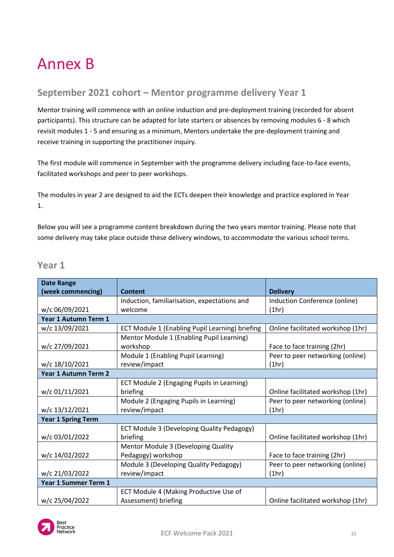### <span id="page-14-0"></span>Annex B

### **September 2021 cohort – Mentor programme delivery Year 1**

Mentor training will commence with an online induction and pre-deployment training (recorded for absent participants). This structure can be adapted for late starters or absences by removing modules 6 - 8 which revisit modules 1 - 5 and ensuring as a minimum, Mentors undertake the pre-deployment training and receive training in supporting the practitioner inquiry.

The first module will commence in September with the programme delivery including face-to-face events, facilitated workshops and peer to peer workshops.

The modules in year 2 are designed to aid the ECTs deepen their knowledge and practice explored in Year 1.

Below you will see a programme content breakdown during the two years mentor training. Please note that some delivery may take place outside these delivery windows, to accommodate the various school terms.

#### **Year 1**

| <b>Date Range</b>           |                                                 |                                   |
|-----------------------------|-------------------------------------------------|-----------------------------------|
| (week commencing)           | <b>Content</b>                                  | <b>Delivery</b>                   |
|                             | Induction, familiarisation, expectations and    | Induction Conference (online)     |
| w/c 06/09/2021              | welcome                                         | (1hr)                             |
| Year 1 Autumn Term 1        |                                                 |                                   |
| w/c 13/09/2021              | ECT Module 1 (Enabling Pupil Learning) briefing | Online facilitated workshop (1hr) |
|                             | Mentor Module 1 (Enabling Pupil Learning)       |                                   |
| w/c 27/09/2021              | workshop                                        | Face to face training (2hr)       |
|                             | Module 1 (Enabling Pupil Learning)              | Peer to peer networking (online)  |
| w/c 18/10/2021              | review/impact                                   | (1hr)                             |
| <b>Year 1 Autumn Term 2</b> |                                                 |                                   |
|                             | ECT Module 2 (Engaging Pupils in Learning)      |                                   |
| w/c 01/11/2021              | briefing                                        | Online facilitated workshop (1hr) |
|                             | Module 2 (Engaging Pupils in Learning)          | Peer to peer networking (online)  |
| w/c 13/12/2021              | review/impact                                   | (1hr)                             |
| <b>Year 1 Spring Term</b>   |                                                 |                                   |
|                             | ECT Module 3 (Developing Quality Pedagogy)      |                                   |
| w/c 03/01/2022              | briefing                                        | Online facilitated workshop (1hr) |
|                             | Mentor Module 3 (Developing Quality             |                                   |
| w/c 14/02/2022              | Pedagogy) workshop                              | Face to face training (2hr)       |
|                             | Module 3 (Developing Quality Pedagogy)          | Peer to peer networking (online)  |
| w/c 21/03/2022              | review/impact                                   | (1hr)                             |
| <b>Year 1 Summer Term 1</b> |                                                 |                                   |
|                             | ECT Module 4 (Making Productive Use of          |                                   |
| w/c 25/04/2022              | Assessment) briefing                            | Online facilitated workshop (1hr) |

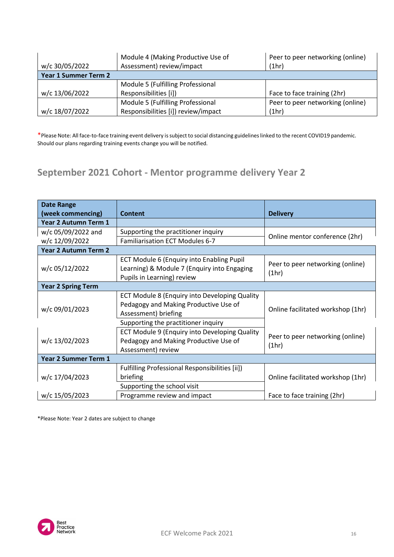|                             | Module 4 (Making Productive Use of  | Peer to peer networking (online) |
|-----------------------------|-------------------------------------|----------------------------------|
| w/c 30/05/2022              | Assessment) review/impact           | (1hr)                            |
| <b>Year 1 Summer Term 2</b> |                                     |                                  |
|                             | Module 5 (Fulfilling Professional   |                                  |
| w/c 13/06/2022              | Responsibilities [i])               | Face to face training (2hr)      |
|                             | Module 5 (Fulfilling Professional   | Peer to peer networking (online) |
| w/c 18/07/2022              | Responsibilities [i]) review/impact | (1hr)                            |

### <span id="page-15-0"></span>**September 2021 Cohort - Mentor programme delivery Year 2**

| <b>Date Range</b>         |                                                                                                                                                     |                                           |
|---------------------------|-----------------------------------------------------------------------------------------------------------------------------------------------------|-------------------------------------------|
| (week commencing)         | Content                                                                                                                                             | <b>Delivery</b>                           |
| Year 2 Autumn Term 1      |                                                                                                                                                     |                                           |
| w/c 05/09/2022 and        | Supporting the practitioner inquiry                                                                                                                 | Online mentor conference (2hr)            |
| w/c 12/09/2022            | <b>Familiarisation ECT Modules 6-7</b>                                                                                                              |                                           |
| Year 2 Autumn Term 2      |                                                                                                                                                     |                                           |
| w/c 05/12/2022            | ECT Module 6 (Enquiry into Enabling Pupil<br>Learning) & Module 7 (Enquiry into Engaging<br>Pupils in Learning) review                              | Peer to peer networking (online)<br>(1hr) |
| <b>Year 2 Spring Term</b> |                                                                                                                                                     |                                           |
| w/c 09/01/2023            | ECT Module 8 (Enquiry into Developing Quality<br>Pedagogy and Making Productive Use of<br>Assessment) briefing                                      | Online facilitated workshop (1hr)         |
| w/c 13/02/2023            | Supporting the practitioner inquiry<br>ECT Module 9 (Enquiry into Developing Quality<br>Pedagogy and Making Productive Use of<br>Assessment) review | Peer to peer networking (online)<br>(1hr) |
| Year 2 Summer Term 1      |                                                                                                                                                     |                                           |
| w/c 17/04/2023            | Fulfilling Professional Responsibilities [ii])<br>briefing                                                                                          | Online facilitated workshop (1hr)         |
|                           | Supporting the school visit                                                                                                                         |                                           |
| w/c 15/05/2023            | Programme review and impact                                                                                                                         | Face to face training (2hr)               |

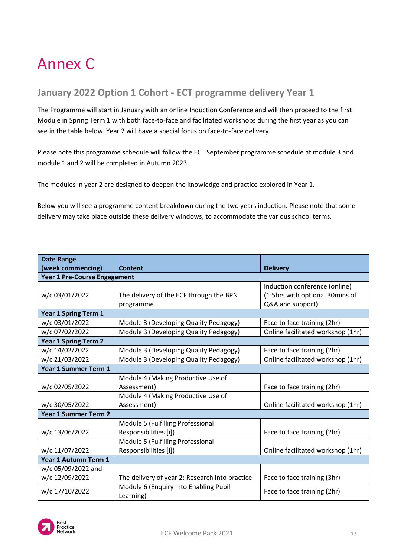## Annex C

### <span id="page-16-0"></span>**January 2022 Option 1 Cohort - ECT programme delivery Year 1**

The Programme will start in January with an online Induction Conference and will then proceed to the first Module in Spring Term 1 with both face-to-face and facilitated workshops during the first year as you can see in the table below. Year 2 will have a special focus on face-to-face delivery.

Please note this programme schedule will follow the ECT September programme schedule at module 3 and module 1 and 2 will be completed in Autumn 2023.

The modules in year 2 are designed to deepen the knowledge and practice explored in Year 1.

Below you will see a programme content breakdown during the two years induction. Please note that some delivery may take place outside these delivery windows, to accommodate the various school terms.

| <b>Date Range</b>                   |                                                |                                   |
|-------------------------------------|------------------------------------------------|-----------------------------------|
| (week commencing)                   | Content                                        | <b>Delivery</b>                   |
| <b>Year 1 Pre-Course Engagement</b> |                                                |                                   |
|                                     |                                                | Induction conference (online)     |
| w/c 03/01/2022                      | The delivery of the ECF through the BPN        | (1.5hrs with optional 30mins of   |
|                                     | programme                                      | Q&A and support)                  |
| <b>Year 1 Spring Term 1</b>         |                                                |                                   |
| w/c 03/01/2022                      | Module 3 (Developing Quality Pedagogy)         | Face to face training (2hr)       |
| w/c 07/02/2022                      | Module 3 (Developing Quality Pedagogy)         | Online facilitated workshop (1hr) |
| <b>Year 1 Spring Term 2</b>         |                                                |                                   |
| w/c 14/02/2022                      | Module 3 (Developing Quality Pedagogy)         | Face to face training (2hr)       |
| w/c 21/03/2022                      | Module 3 (Developing Quality Pedagogy)         | Online facilitated workshop (1hr) |
| <b>Year 1 Summer Term 1</b>         |                                                |                                   |
|                                     | Module 4 (Making Productive Use of             |                                   |
| w/c 02/05/2022                      | Assessment)                                    | Face to face training (2hr)       |
|                                     | Module 4 (Making Productive Use of             |                                   |
| w/c 30/05/2022                      | Assessment)                                    | Online facilitated workshop (1hr) |
| <b>Year 1 Summer Term 2</b>         |                                                |                                   |
|                                     | Module 5 (Fulfilling Professional              |                                   |
| w/c 13/06/2022                      | Responsibilities [i])                          | Face to face training (2hr)       |
|                                     | Module 5 (Fulfilling Professional              |                                   |
| w/c 11/07/2022                      | Responsibilities [i])                          | Online facilitated workshop (1hr) |
| Year 1 Autumn Term 1                |                                                |                                   |
| w/c 05/09/2022 and                  |                                                |                                   |
| w/c 12/09/2022                      | The delivery of year 2: Research into practice | Face to face training (3hr)       |
| w/c 17/10/2022                      | Module 6 (Enquiry into Enabling Pupil          | Face to face training (2hr)       |
|                                     | Learning)                                      |                                   |

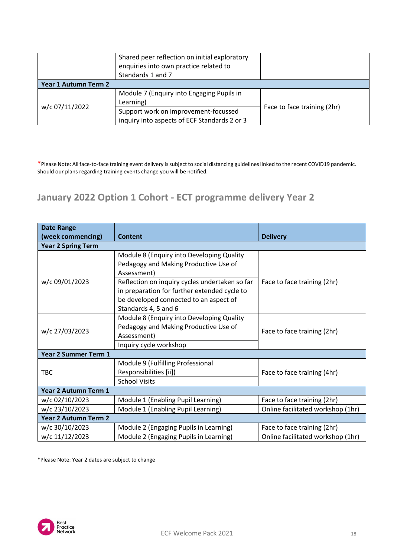|                      | Shared peer reflection on initial exploratory<br>enquiries into own practice related to<br>Standards 1 and 7 |                             |
|----------------------|--------------------------------------------------------------------------------------------------------------|-----------------------------|
| Year 1 Autumn Term 2 |                                                                                                              |                             |
|                      | Module 7 (Enquiry into Engaging Pupils in<br>Learning)                                                       |                             |
| w/c 07/11/2022       | Support work on improvement-focussed<br>inquiry into aspects of ECF Standards 2 or 3                         | Face to face training (2hr) |

### <span id="page-17-0"></span>**January 2022 Option 1 Cohort - ECT programme delivery Year 2**

| <b>Date Range</b>           |                                                                                                                                                                  |                                   |
|-----------------------------|------------------------------------------------------------------------------------------------------------------------------------------------------------------|-----------------------------------|
| (week commencing)           | Content                                                                                                                                                          | <b>Delivery</b>                   |
| <b>Year 2 Spring Term</b>   |                                                                                                                                                                  |                                   |
|                             | Module 8 (Enquiry into Developing Quality<br>Pedagogy and Making Productive Use of<br>Assessment)                                                                |                                   |
| w/c 09/01/2023              | Reflection on inquiry cycles undertaken so far<br>in preparation for further extended cycle to<br>be developed connected to an aspect of<br>Standards 4, 5 and 6 | Face to face training (2hr)       |
| w/c 27/03/2023              | Module 8 (Enquiry into Developing Quality<br>Pedagogy and Making Productive Use of<br>Assessment)                                                                | Face to face training (2hr)       |
|                             | Inquiry cycle workshop                                                                                                                                           |                                   |
| <b>Year 2 Summer Term 1</b> |                                                                                                                                                                  |                                   |
| <b>TBC</b>                  | Module 9 (Fulfilling Professional<br>Responsibilities [ii])<br><b>School Visits</b>                                                                              | Face to face training (4hr)       |
| <b>Year 2 Autumn Term 1</b> |                                                                                                                                                                  |                                   |
| w/c 02/10/2023              | Module 1 (Enabling Pupil Learning)                                                                                                                               | Face to face training (2hr)       |
| w/c 23/10/2023              | Module 1 (Enabling Pupil Learning)                                                                                                                               | Online facilitated workshop (1hr) |
| <b>Year 2 Autumn Term 2</b> |                                                                                                                                                                  |                                   |
| w/c 30/10/2023              | Module 2 (Engaging Pupils in Learning)                                                                                                                           | Face to face training (2hr)       |
| w/c 11/12/2023              | Module 2 (Engaging Pupils in Learning)                                                                                                                           | Online facilitated workshop (1hr) |

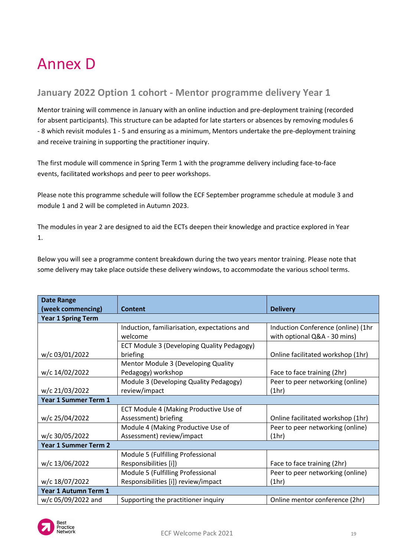### <span id="page-18-0"></span>Annex D

#### <span id="page-18-1"></span>**January 2022 Option 1 cohort - Mentor programme delivery Year 1**

Mentor training will commence in January with an online induction and pre-deployment training (recorded for absent participants). This structure can be adapted for late starters or absences by removing modules 6 - 8 which revisit modules 1 - 5 and ensuring as a minimum, Mentors undertake the pre-deployment training and receive training in supporting the practitioner inquiry.

The first module will commence in Spring Term 1 with the programme delivery including face-to-face events, facilitated workshops and peer to peer workshops.

Please note this programme schedule will follow the ECF September programme schedule at module 3 and module 1 and 2 will be completed in Autumn 2023.

The modules in year 2 are designed to aid the ECTs deepen their knowledge and practice explored in Year 1.

Below you will see a programme content breakdown during the two years mentor training. Please note that some delivery may take place outside these delivery windows, to accommodate the various school terms.

| <b>Date Range</b>           |                                              |                                    |
|-----------------------------|----------------------------------------------|------------------------------------|
| (week commencing)           | <b>Content</b>                               | <b>Delivery</b>                    |
| <b>Year 1 Spring Term</b>   |                                              |                                    |
|                             | Induction, familiarisation, expectations and | Induction Conference (online) (1hr |
|                             | welcome                                      | with optional Q&A - 30 mins)       |
|                             | ECT Module 3 (Developing Quality Pedagogy)   |                                    |
| w/c 03/01/2022              | briefing                                     | Online facilitated workshop (1hr)  |
|                             | Mentor Module 3 (Developing Quality          |                                    |
| w/c 14/02/2022              | Pedagogy) workshop                           | Face to face training (2hr)        |
|                             | Module 3 (Developing Quality Pedagogy)       | Peer to peer networking (online)   |
| w/c 21/03/2022              | review/impact                                | (1hr)                              |
| Year 1 Summer Term 1        |                                              |                                    |
|                             | ECT Module 4 (Making Productive Use of       |                                    |
| w/c 25/04/2022              | Assessment) briefing                         | Online facilitated workshop (1hr)  |
|                             | Module 4 (Making Productive Use of           | Peer to peer networking (online)   |
| w/c 30/05/2022              | Assessment) review/impact                    | (1hr)                              |
| <b>Year 1 Summer Term 2</b> |                                              |                                    |
|                             | Module 5 (Fulfilling Professional            |                                    |
| w/c 13/06/2022              | Responsibilities [i])                        | Face to face training (2hr)        |
|                             | Module 5 (Fulfilling Professional            | Peer to peer networking (online)   |
| w/c 18/07/2022              | Responsibilities [i]) review/impact          | (1hr)                              |
| Year 1 Autumn Term 1        |                                              |                                    |
| w/c 05/09/2022 and          | Supporting the practitioner inquiry          | Online mentor conference (2hr)     |

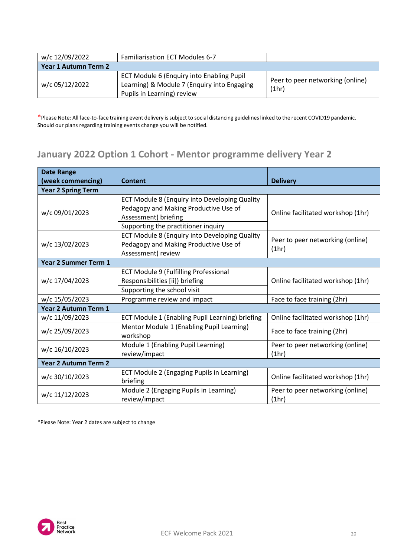| w/c 12/09/2022       | Familiarisation ECT Modules 6-7                                                                                        |                                           |
|----------------------|------------------------------------------------------------------------------------------------------------------------|-------------------------------------------|
| Year 1 Autumn Term 2 |                                                                                                                        |                                           |
| w/c 05/12/2022       | ECT Module 6 (Enquiry into Enabling Pupil<br>Learning) & Module 7 (Enquiry into Engaging<br>Pupils in Learning) review | Peer to peer networking (online)<br>(1hr) |

### <span id="page-19-0"></span>**January 2022 Option 1 Cohort - Mentor programme delivery Year 2**

| <b>Date Range</b>           |                                                                                                                                                       |                                           |
|-----------------------------|-------------------------------------------------------------------------------------------------------------------------------------------------------|-------------------------------------------|
| (week commencing)           | Content                                                                                                                                               | <b>Delivery</b>                           |
| <b>Year 2 Spring Term</b>   |                                                                                                                                                       |                                           |
| w/c 09/01/2023              | ECT Module 8 (Enquiry into Developing Quality<br>Pedagogy and Making Productive Use of<br>Assessment) briefing<br>Supporting the practitioner inquiry | Online facilitated workshop (1hr)         |
| w/c 13/02/2023              | ECT Module 8 (Enquiry into Developing Quality<br>Pedagogy and Making Productive Use of<br>Assessment) review                                          | Peer to peer networking (online)<br>(1hr) |
| <b>Year 2 Summer Term 1</b> |                                                                                                                                                       |                                           |
| w/c 17/04/2023              | ECT Module 9 (Fulfilling Professional<br>Responsibilities [ii]) briefing<br>Supporting the school visit                                               | Online facilitated workshop (1hr)         |
| w/c 15/05/2023              | Programme review and impact                                                                                                                           | Face to face training (2hr)               |
| <b>Year 2 Autumn Term 1</b> |                                                                                                                                                       |                                           |
| w/c 11/09/2023              | ECT Module 1 (Enabling Pupil Learning) briefing                                                                                                       | Online facilitated workshop (1hr)         |
| w/c 25/09/2023              | Mentor Module 1 (Enabling Pupil Learning)<br>workshop                                                                                                 | Face to face training (2hr)               |
| w/c 16/10/2023              | Module 1 (Enabling Pupil Learning)<br>review/impact                                                                                                   | Peer to peer networking (online)<br>(1hr) |
| <b>Year 2 Autumn Term 2</b> |                                                                                                                                                       |                                           |
| w/c 30/10/2023              | ECT Module 2 (Engaging Pupils in Learning)<br>briefing                                                                                                | Online facilitated workshop (1hr)         |
| w/c 11/12/2023              | Module 2 (Engaging Pupils in Learning)<br>review/impact                                                                                               | Peer to peer networking (online)<br>(1hr) |

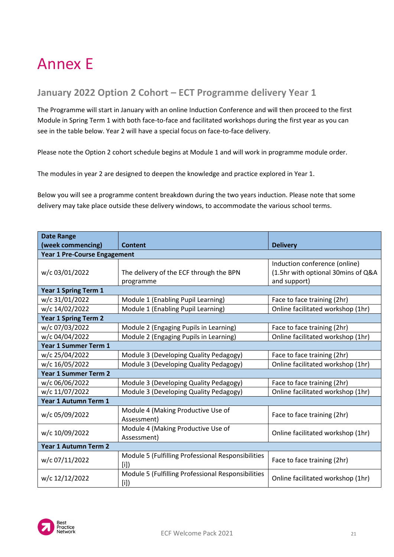### <span id="page-20-0"></span>Annex E

#### <span id="page-20-1"></span>**January 2022 Option 2 Cohort – ECT Programme delivery Year 1**

The Programme will start in January with an online Induction Conference and will then proceed to the first Module in Spring Term 1 with both face-to-face and facilitated workshops during the first year as you can see in the table below. Year 2 will have a special focus on face-to-face delivery.

Please note the Option 2 cohort schedule begins at Module 1 and will work in programme module order.

The modules in year 2 are designed to deepen the knowledge and practice explored in Year 1.

Below you will see a programme content breakdown during the two years induction. Please note that some delivery may take place outside these delivery windows, to accommodate the various school terms.

| <b>Date Range</b>                   |                                                           |                                                                                     |
|-------------------------------------|-----------------------------------------------------------|-------------------------------------------------------------------------------------|
| (week commencing)                   | Content                                                   | <b>Delivery</b>                                                                     |
| <b>Year 1 Pre-Course Engagement</b> |                                                           |                                                                                     |
| w/c 03/01/2022                      | The delivery of the ECF through the BPN<br>programme      | Induction conference (online)<br>(1.5hr with optional 30mins of Q&A<br>and support) |
| Year 1 Spring Term 1                |                                                           |                                                                                     |
| w/c 31/01/2022                      | Module 1 (Enabling Pupil Learning)                        | Face to face training (2hr)                                                         |
| w/c 14/02/2022                      | Module 1 (Enabling Pupil Learning)                        | Online facilitated workshop (1hr)                                                   |
| <b>Year 1 Spring Term 2</b>         |                                                           |                                                                                     |
| w/c 07/03/2022                      | Module 2 (Engaging Pupils in Learning)                    | Face to face training (2hr)                                                         |
| w/c 04/04/2022                      | Module 2 (Engaging Pupils in Learning)                    | Online facilitated workshop (1hr)                                                   |
| Year 1 Summer Term 1                |                                                           |                                                                                     |
| w/c 25/04/2022                      | Module 3 (Developing Quality Pedagogy)                    | Face to face training (2hr)                                                         |
| w/c 16/05/2022                      | Module 3 (Developing Quality Pedagogy)                    | Online facilitated workshop (1hr)                                                   |
| <b>Year 1 Summer Term 2</b>         |                                                           |                                                                                     |
| w/c 06/06/2022                      | Module 3 (Developing Quality Pedagogy)                    | Face to face training (2hr)                                                         |
| w/c 11/07/2022                      | Module 3 (Developing Quality Pedagogy)                    | Online facilitated workshop (1hr)                                                   |
| Year 1 Autumn Term 1                |                                                           |                                                                                     |
| w/c 05/09/2022                      | Module 4 (Making Productive Use of<br>Assessment)         | Face to face training (2hr)                                                         |
| w/c 10/09/2022                      | Module 4 (Making Productive Use of<br>Assessment)         | Online facilitated workshop (1hr)                                                   |
| Year 1 Autumn Term 2                |                                                           |                                                                                     |
| w/c 07/11/2022                      | Module 5 (Fulfilling Professional Responsibilities<br>[i] | Face to face training (2hr)                                                         |
| w/c 12/12/2022                      | Module 5 (Fulfilling Professional Responsibilities<br>[i] | Online facilitated workshop (1hr)                                                   |

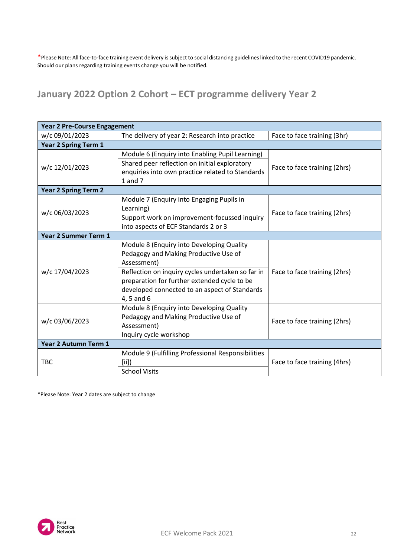### <span id="page-21-0"></span>**January 2022 Option 2 Cohort – ECT programme delivery Year 2**

| <b>Year 2 Pre-Course Engagement</b> |                                                                                                                                                                                                                                                                       |                              |
|-------------------------------------|-----------------------------------------------------------------------------------------------------------------------------------------------------------------------------------------------------------------------------------------------------------------------|------------------------------|
| w/c 09/01/2023                      | The delivery of year 2: Research into practice                                                                                                                                                                                                                        | Face to face training (3hr)  |
| <b>Year 2 Spring Term 1</b>         |                                                                                                                                                                                                                                                                       |                              |
| w/c 12/01/2023                      | Module 6 (Enquiry into Enabling Pupil Learning)<br>Shared peer reflection on initial exploratory<br>enquiries into own practice related to Standards<br>$1$ and $7$                                                                                                   | Face to face training (2hrs) |
| <b>Year 2 Spring Term 2</b>         |                                                                                                                                                                                                                                                                       |                              |
| w/c 06/03/2023                      | Module 7 (Enquiry into Engaging Pupils in<br>Learning)<br>Support work on improvement-focussed inquiry<br>into aspects of ECF Standards 2 or 3                                                                                                                        | Face to face training (2hrs) |
| <b>Year 2 Summer Term 1</b>         |                                                                                                                                                                                                                                                                       |                              |
| w/c 17/04/2023                      | Module 8 (Enquiry into Developing Quality<br>Pedagogy and Making Productive Use of<br>Assessment)<br>Reflection on inquiry cycles undertaken so far in<br>preparation for further extended cycle to be<br>developed connected to an aspect of Standards<br>4, 5 and 6 | Face to face training (2hrs) |
| w/c 03/06/2023                      | Module 8 (Enquiry into Developing Quality<br>Pedagogy and Making Productive Use of<br>Assessment)<br>Inquiry cycle workshop                                                                                                                                           | Face to face training (2hrs) |
| Year 2 Autumn Term 1                |                                                                                                                                                                                                                                                                       |                              |
| <b>TBC</b>                          | Module 9 (Fulfilling Professional Responsibilities<br>[iii]<br><b>School Visits</b>                                                                                                                                                                                   | Face to face training (4hrs) |

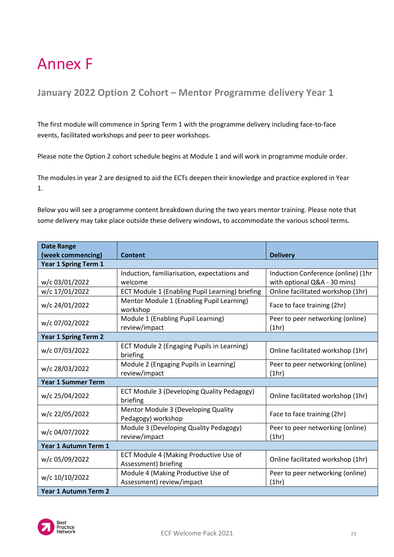### <span id="page-22-0"></span>Annex F

### <span id="page-22-1"></span>**January 2022 Option 2 Cohort – Mentor Programme delivery Year 1**

The first module will commence in Spring Term 1 with the programme delivery including face-to-face events, facilitated workshops and peer to peer workshops.

Please note the Option 2 cohort schedule begins at Module 1 and will work in programme module order.

The modules in year 2 are designed to aid the ECTs deepen their knowledge and practice explored in Year 1.

Below you will see a programme content breakdown during the two years mentor training. Please note that some delivery may take place outside these delivery windows, to accommodate the various school terms.

| <b>Date Range</b>           |                                                        |                                    |
|-----------------------------|--------------------------------------------------------|------------------------------------|
| (week commencing)           | <b>Content</b>                                         | <b>Delivery</b>                    |
| <b>Year 1 Spring Term 1</b> |                                                        |                                    |
|                             | Induction, familiarisation, expectations and           | Induction Conference (online) (1hr |
| w/c 03/01/2022              | welcome                                                | with optional Q&A - 30 mins)       |
| w/c 17/01/2022              | ECT Module 1 (Enabling Pupil Learning) briefing        | Online facilitated workshop (1hr)  |
| w/c 24/01/2022              | Mentor Module 1 (Enabling Pupil Learning)<br>workshop  | Face to face training (2hr)        |
| w/c 07/02/2022              | Module 1 (Enabling Pupil Learning)<br>review/impact    | Peer to peer networking (online)   |
|                             |                                                        | (1hr)                              |
| <b>Year 1 Spring Term 2</b> |                                                        |                                    |
| w/c 07/03/2022              | ECT Module 2 (Engaging Pupils in Learning)<br>briefing | Online facilitated workshop (1hr)  |
| w/c 28/03/2022              | Module 2 (Engaging Pupils in Learning)                 | Peer to peer networking (online)   |
|                             | review/impact                                          | (1hr)                              |
| <b>Year 1 Summer Term</b>   |                                                        |                                    |
| w/c 25/04/2022              | ECT Module 3 (Developing Quality Pedagogy)<br>briefing | Online facilitated workshop (1hr)  |
| w/c 22/05/2022              | <b>Mentor Module 3 (Developing Quality</b>             | Face to face training (2hr)        |
|                             | Pedagogy) workshop                                     |                                    |
| w/c 04/07/2022              | Module 3 (Developing Quality Pedagogy)                 | Peer to peer networking (online)   |
|                             | review/impact                                          | (1hr)                              |
| Year 1 Autumn Term 1        |                                                        |                                    |
| w/c 05/09/2022              | ECT Module 4 (Making Productive Use of                 | Online facilitated workshop (1hr)  |
|                             | Assessment) briefing                                   |                                    |
| w/c 10/10/2022              | Module 4 (Making Productive Use of                     | Peer to peer networking (online)   |
|                             | Assessment) review/impact                              | (1hr)                              |
| Year 1 Autumn Term 2        |                                                        |                                    |

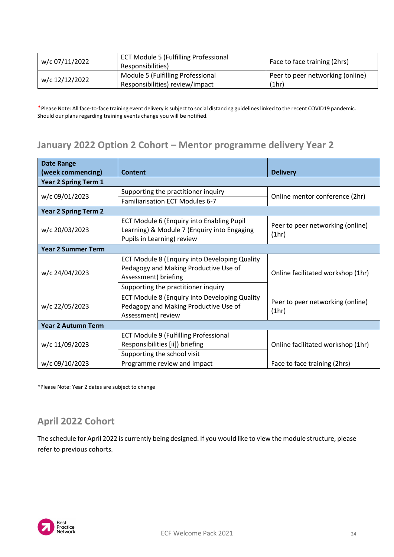| w/c 07/11/2022 | <b>ECT Module 5 (Fulfilling Professional</b><br>Responsibilities)    | Face to face training (2hrs)              |
|----------------|----------------------------------------------------------------------|-------------------------------------------|
| w/c 12/12/2022 | Module 5 (Fulfilling Professional<br>Responsibilities) review/impact | Peer to peer networking (online)<br>(1hr) |
|                |                                                                      |                                           |

### <span id="page-23-0"></span>**January 2022 Option 2 Cohort – Mentor programme delivery Year 2**

| <b>Date Range</b><br>(week commencing) | <b>Content</b>                                                                                                         | <b>Delivery</b>                           |
|----------------------------------------|------------------------------------------------------------------------------------------------------------------------|-------------------------------------------|
| <b>Year 2 Spring Term 1</b>            |                                                                                                                        |                                           |
| w/c 09/01/2023                         | Supporting the practitioner inquiry                                                                                    | Online mentor conference (2hr)            |
|                                        | Familiarisation ECT Modules 6-7                                                                                        |                                           |
| <b>Year 2 Spring Term 2</b>            |                                                                                                                        |                                           |
| w/c 20/03/2023                         | ECT Module 6 (Enquiry into Enabling Pupil<br>Learning) & Module 7 (Enquiry into Engaging<br>Pupils in Learning) review | Peer to peer networking (online)<br>(1hr) |
| <b>Year 2 Summer Term</b>              |                                                                                                                        |                                           |
| w/c 24/04/2023                         | ECT Module 8 (Enquiry into Developing Quality<br>Pedagogy and Making Productive Use of<br>Assessment) briefing         | Online facilitated workshop (1hr)         |
|                                        | Supporting the practitioner inquiry                                                                                    |                                           |
| w/c 22/05/2023                         | ECT Module 8 (Enquiry into Developing Quality<br>Pedagogy and Making Productive Use of<br>Assessment) review           | Peer to peer networking (online)<br>(1hr) |
| <b>Year 2 Autumn Term</b>              |                                                                                                                        |                                           |
| w/c 11/09/2023                         | <b>ECT Module 9 (Fulfilling Professional</b>                                                                           |                                           |
|                                        | Responsibilities [ii]) briefing                                                                                        | Online facilitated workshop (1hr)         |
|                                        | Supporting the school visit                                                                                            |                                           |
| w/c 09/10/2023                         | Programme review and impact                                                                                            | Face to face training (2hrs)              |

\*Please Note: Year 2 dates are subject to change

#### <span id="page-23-1"></span>**April 2022 Cohort**

The schedule for April 2022 is currently being designed. If you would like to view the module structure, please refer to previous cohorts.